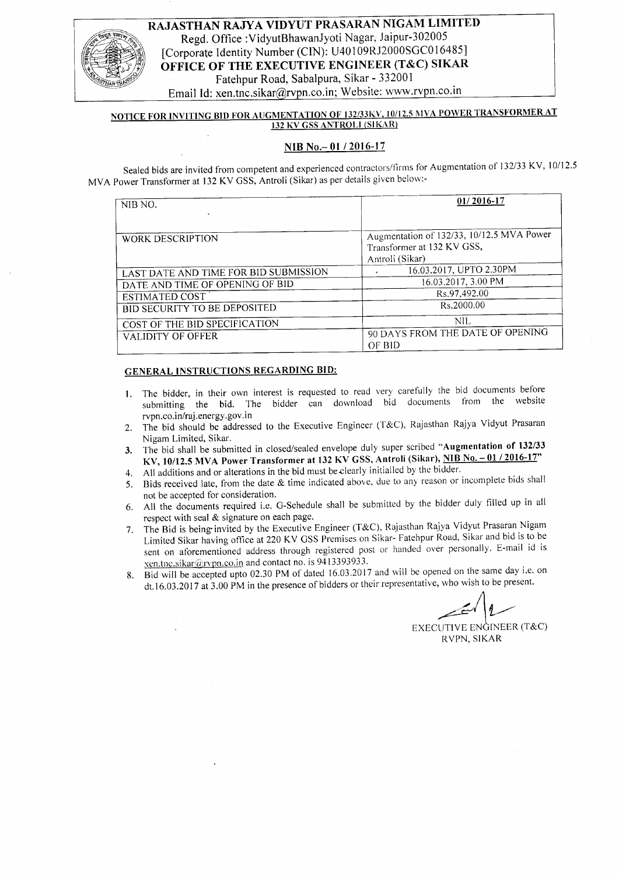#### RAJASTHAN RAJYA VIDYUT PRASARAN NIGAM LIMITED Regd. Office : VidyutBhawanJyoti Nagar; Jaipur-302005 [Corporate Identity Number (CIN): U40109RJ2000SGC016485] OFFICE OF THE EXECUTIVE ENGINEER (T&C) SIKAR Fatehpur Road, Sabalpura, Sikar - 332001 Email Id: xen.tnc.sikar@rvpn.co.in; Website: www.rvpn.co.in

#### NOTICE FOR INVITING BID FOR AUGMENTATION OF 132/33KV, 10/12.5 MVA POWER TRANSFORMER AT **132 KV GSS ANTROLI (SIKAR)**

#### NIB No.- 01 / 2016-17

Sealed bids are invited from competent and experienced contractors/firms for Augmentation of 132/33 KV, 10/12.5 MVA Power Transformer at 132 KV GSS, Antroli (Sikar) as per details given below:-

| NIB NO.<br>$\sim$                     | 01/2016-17                                                                                 |
|---------------------------------------|--------------------------------------------------------------------------------------------|
| WORK DESCRIPTION                      | Augmentation of 132/33, 10/12.5 MVA Power<br>Transformer at 132 KV GSS,<br>Antroli (Sikar) |
| LAST DATE AND TIME FOR BID SUBMISSION | 16.03.2017, UPTO 2.30PM                                                                    |
| DATE AND TIME OF OPENING OF BID       | 16.03.2017, 3.00 PM                                                                        |
| <b>ESTIMATED COST</b>                 | Rs.97,492.00                                                                               |
| BID SECURITY TO BE DEPOSITED          | Rs.2000.00                                                                                 |
| COST OF THE BID SPECIFICATION         | NIL                                                                                        |
| <b>VALIDITY OF OFFER</b>              | 90 DAYS FROM THE DATE OF OPENING<br>OF BID                                                 |

#### GENERAL INSTRUCTIONS REGARDING BID:

- L The bidder, in their own interest is requested to read very caretully the bid documents before submitting the bid. The bidder can download bid documents from the website rvpn.co.in/raj.energy.gov.in
- 2. The bid should be addressed to the Executive Engineer (T&C), Rajasthan Rajya Vidyut Prasaran Nigam Limited, Sikar.
- 3. The bid shall be submitted in closed/sealed envelope duly super scribed "Augmentation of 132/33 KV, 10/12.5 MVA Power Transformer at 132 KV GSS, Antroli (Sikar), NIB No. - 01 / 2016-17"
- 4. All additions and or alterations in the bid must beclearly initialled by the bidder.
- 5. Bids received late, fiom the date & time indicated above, due to any reason or incomplete bids shall not be accepted for consideration.
- 6. All the documents required i.e. G-schedule shall be submitted by the bidder duly filled up in all respect with seal & signature on each page.
- 7. The Bid is being invited by the Executive Engineer (T&C), Rajasthan Rajya Vidyut Prasaran Nigam Limited Sikar having office at 220 KV GSS Premises on Sikar- Fatehpur Road, Sikar and bid is to be sent on aforementioned address through registered post or handed over personally. E-mail id is  $x$ en.tnc.sikar@rvpn.co.in and contact no. is 9413393933.
- 8. Bid will be accepted upto 02.30 PM of dated 16.03.2017 and will be opened on the same day i.e. on dt.16.03.2017 at 3.00 PM in the presence of bidders or their representative, who wish to be present.

A  $\left| \begin{matrix} 2 \end{matrix} \right|$ 

EXECUTIVE ENĜINEER (T&C) RVPN, SIKAR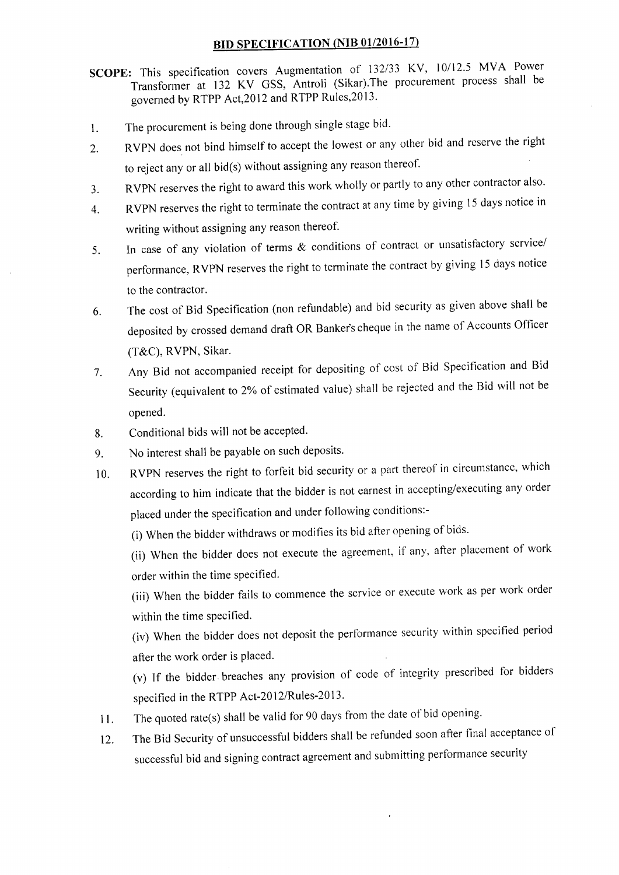# BID SPECIFICATION (NIB 01/2016-17)

- SCOPE: This specification covers Augmentation of 132/33 KV, 10/12.5 MVA Power Transformer at 132 KV GSS, Antroli (Sikar).The procurement process shall be governed by RTPP Act,20l2 and RTPP Rules,20l3'
- 1. The procurement is being done through single stage bid'
- 2. RVPN does not bind himself to accept the lowest or any other bid and reserve the right to reject any or all bid(s) without assigning any reason thereof.
- 3. RVPN reserves the right to award this work wholly or partly to any other contractor also'
- 4. RVPN reserves the right to terminate the contract at any time by giving 15 days notice in writing without assigning any reason thereof.
- 5. In case of any violation of terms & conditions of contract or unsatisfactory service/ performance, RVPN reserves the right to terminate the contract by giving 15 days notice to the contractor.
- 6. The cost of Bid Specification (non refundable) and bid security as given above shall be deposited by crossed demand draft OR Banker's cheque in the name of Accounts Officer (T&C), RVPN, Sikar.
- 7. Any Bid not accompanied receipt for depositing of cost of Bid Specification and Bid Security (equivalent to 2% of estimated value) shall be rejected and the Bid will not be opened.
- 8. Conditional bids will not be accepted.
- 9. No interest shall be payable on such deposits.
- 10. RVPN reserves the right to forfeit bid security or a part thereof in circumstance, which according to him indicate that the bidder is not earnest in accepting/executing any order placed under the specification and under following conditions:-
	- (i) when the bidder withdraws or modifies its bid after opening of bids'

(ii) when the bidder does not execute the agreement, if any, after placement of work order within the time specified.

(iii) when the bidder fails to commence the service or execute work as per work order within the time specified.

(iv) When the bidder does not deposit the performance security within specified period after the work order is placed.

(v) If the bidder breaches any provision of code of integrity prescribed for bidders specified in the RTPP Act-2012/Rules-2013.

- 11. The quoted rate(s) shall be valid for 90 days from the date of bid opening.
- 12. The Bid Security of unsuccessful bidders shall be refunded soon after final acceptance of successful bid and signing contract agreement and submitting performance securlty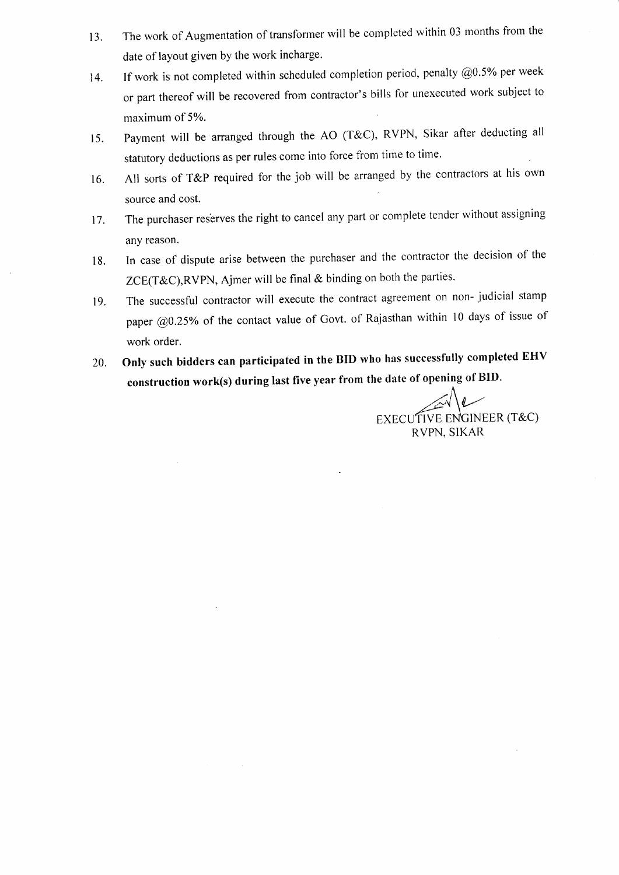- 13. The work of Augmentation of transformer will be completed within 03 months from the date of layout given by the work incharge.
- 14. If work is not completed within scheduled completion period, penalty  $@0.5\%$  per week or part thereof will be recovered from contractor's bills for unexecuted work subject to maximum of 5Yo.
- 15. Payment will be'arranged through the AO (T&C), RVPN, Sikar after deducting all statutory deductions as per rules come into force from time to time.
- 16. All sorts of T&P required for the job will be arranged by the contractors at his own source and cost.
- 17. The purchaser reserves the right to cancel any part or complete tender without assigning any reason.
- lg. In case of dispute arise between the purchaser and the contractor the decision of the ZCE(T&C),RVPN, Ajmer will be final & binding on both the parties.
- 19. The successful contractor will execute the contract agreement on non- judicial stamp paper @0.25% of the contact value of Govt. of Rajasthan within 10 days of issue of work order.
- 20. Only such bidders can participated in the BID who has successfully completed EHV construction work(s) during last five year from the date of opening of BID.

EXECUTIVE ENGINEER (T&C) RVPN, SIKAR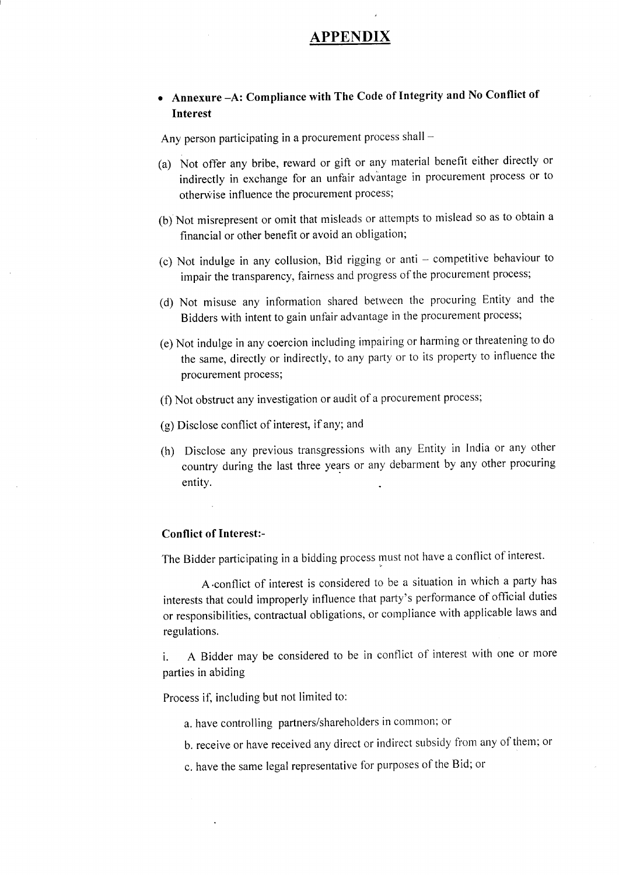## PPENDIX

# . Annexure -A: Compliance with The Code of Integrity and No Conflict of Interest

Any person participating in a procurement process shall -

- (a) Not offer any bribe, reward or gift or any material benefit either directly or indirectly in exchange for an unfair adv'antage in procurement process or to otherwise influence the procurement process;
- (b) Not misrepresent or omit that misleads or attempts to mislead so as to obtain <sup>a</sup> financial or other benefit or avoid an obligation;
- (c) Not indulge in any collusion, Bid rigging or anti competitive behaviour to impair the transparency, fairness and progress of the procurement process;
- (d) Not misuse any information shared between the procuring Entity and the Bidders with intent to gain unfair advantage in the procurement process;
- (e) Not indulge in any coercion including impairing or harming or threatening to do the same, directly or indirectly, to any party or to its property to influence the procurement process;
- (f) Not obstruct any investigation or audit of a procurement process;
- (g) Disclose conflict of interest, if any; and
- (h) Disclose any previous transgressions with any Entity in India or any other country during the last three years or any debarment by any other procuring entity.

#### Conflict of Interest:-

The Bidder participating in a bidding process must not have a conflict of interest.

A.conflict of interest is considered to be a situation in which a party has interests that coutd improperly influence that party's performance of official duties or responsibilities, contractual obligations, or compliance with applicable laws and regulations.

i. A Bidder may be considered to be in conflict of interest with one or more parties in abiding

Process if, including but not limited to:

- a. have controlling partners/shareholders in common; or
- b. receive or have received any direct or indirect subsidy from any of them; or
- c. have the same legal representative for purposes of the Bid; or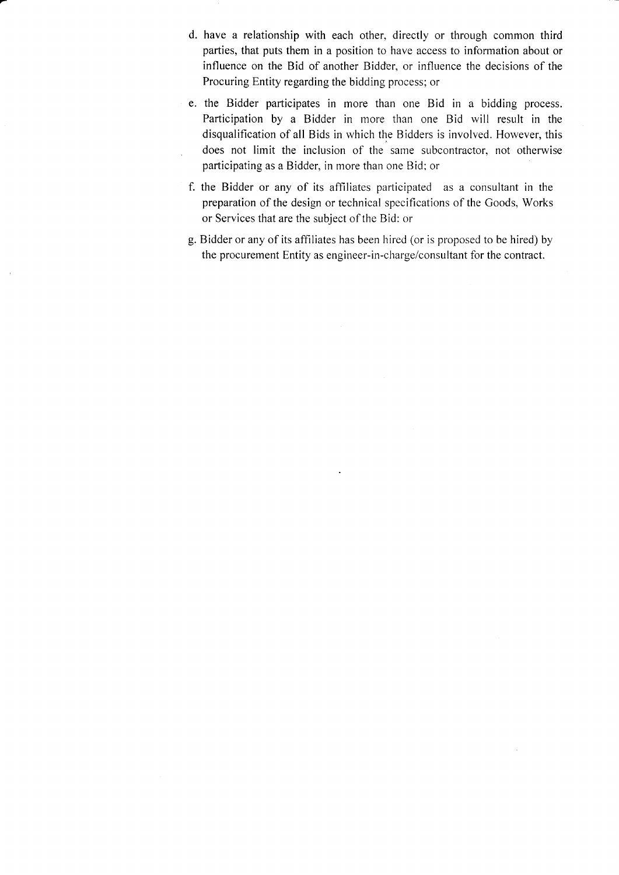- d. have a relationship with each other, directly or through common third parties, that puts them in a position to have access to information about or influence on the Bid of another Bidder, or influence the decisions of the Procuring Entity regarding the bidding process; or
- e. the Bidder participates in more than one Bid in a bidding process. Participation by a Bidder in more than one Bid will result in the disqualification of all Bids in which the Bidders is involved. However, this does not limit the inclusion of the same subcontractor, not otherwise participating as a Bidder, in more than one Bid; or
- f. the Bidder or any of its affiliates participated as a consultant in the preparation of the design or technical specifications of the Goods, Works or Services that are the subject of the Bid: or
- g. Bidder or any of its affiliates has been hired (or is proposed to be hired) by the procurement Entity as engineer-in-charge/consultant for the contract.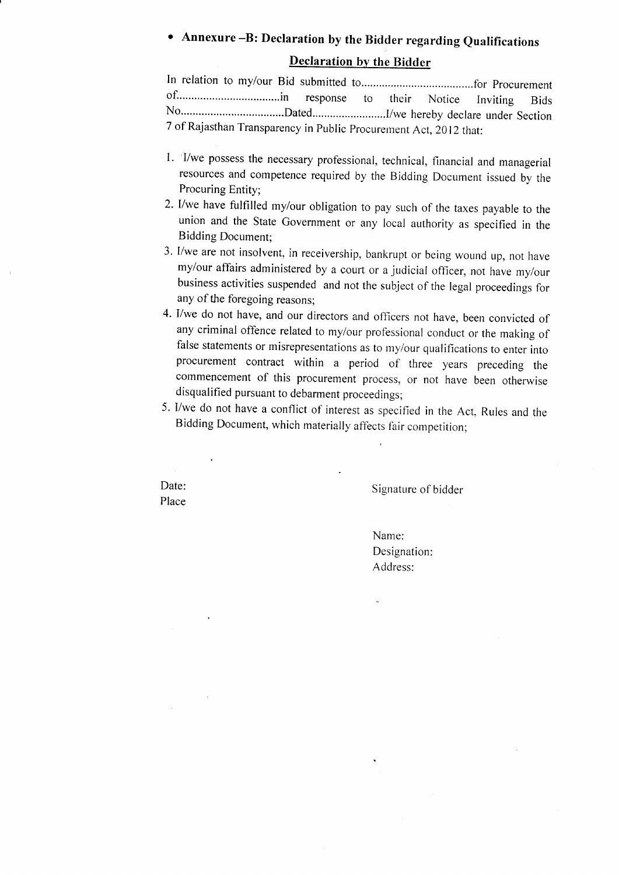# Annexure -B: Declaration by the Bidder regarding Qualifications

## Declaration by the Bidder

In relation to my/our Bid submitted 1o......... ..........for procurement of...................................in response to their Notice Inviting Bids No.............. ..Dated.........................1/we hereby declare under Section 7 of Rajasthan Transparency in Public Procurement Act, 2012 that:

- 1. I/we possess the necessary professional, technical, financial and managerial resources and competence required by the Bidding Document issued by the Procuring Entity;
- 2. l/we have fulfilled my/our obligation to pay such of the taxes payable to the union and the State Government or any local authority as specified in the Bidding Document;
- 3. I/we are not insolvent, in receivership, bankrupt or being wound up, not have mylour affairs administered by a court or a judicial officer, not have my/our business activities suspended and not the subject of the legal proceedings for any of the foregoing reasons;
- 4. I/we do not have, and our directors and officers not have, been convicted of any criminal offence related to my/our professional conduct or the making of false statements or misrepresentations as to my/our qualifications to enter into procurement contract within a period of three years preceding the commencement of this procurement process, or not have been otherwise disqualified pursuant to debarment proceedings;
- 5. I/we do not have a conflict of interest as specified in the Act, Rules and the Bidding Document, which materially affects fair competition;

Date: Place

Signature of bidder

Name: Designation: Address: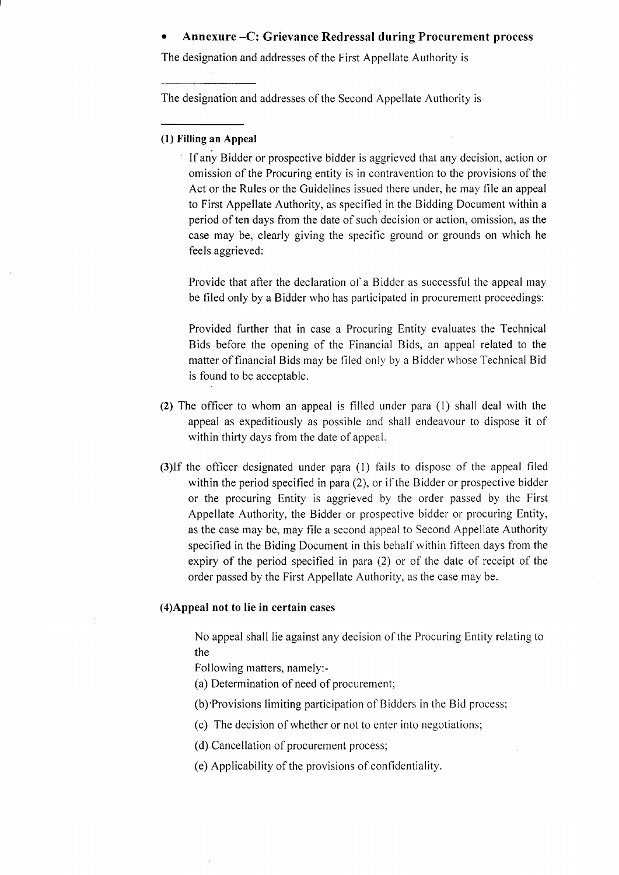#### Annexure -C: Grievance Redressal during Procurement process

The designation and addresses of the First Appellate Authority is

The designation and addresses of the Second Appellate Authority is

#### (l) Filling an Appeal

lf any Bidder or prospective bidder is aggrieved that any decision, action or omission of the Procuring entity is in contravention to the provisions of the Act or the Rules or the Guidelines issued there under, he may file an appeal to First Appellate Authority, as specified in the Bidding Document within a period of ten days from the date of such decision or action, omission, as the case may be, clearly giving the specific ground or grounds on which he feels aggrieved:

Provide that after the declaration of a Bidder as successful the appeal may be filed only by a Bidder who has participated in procurement proceedings:

Provided further that in case a Procuring Entity evaluates the Technical Bids before the opening of the Financial Bids, an appeal related to the matter of financial Bids may be filed only by a Bidder whose Technical Bid is found to be acceptable.

- (2) The officer to whom an appeal is filled under para (l) shall deal with the appeal as expeditiously as possible and shall endeavour to dispose it of within thirty days from the date of appeal.
- (3)If the officer designated under para (l) fails to dispose of the appeal filed within the period specified in para (2), or if the Bidder or prospective bidder or the procuring Entity is aggrieved by the order passed by the First Appellate Authority, the Bidder or prospective bidder or procuring Entity, as the case may be, may file a second appeal to Second Appellate Authority specified in the Biding Document in this behalf within fifleen days from the expiry of the period specified in para (2) or of the date of receipt of the order passed by the First Appellate Authority, as the case may be.

#### (4)Appeal not to lie in certain cases

No appeal shall lie against any decision of the Procuring Entity relating to the

Following matters, namely:-

- (a) Determination of need of procurement;
- (b)'Provisions limiting participation of Bidders in the Bid process;
- (c) The decision of whether or not to enter into negotiations;
- (d) Cancellation of procurement process;
- (e) Applicability of the provisions of confidentiality.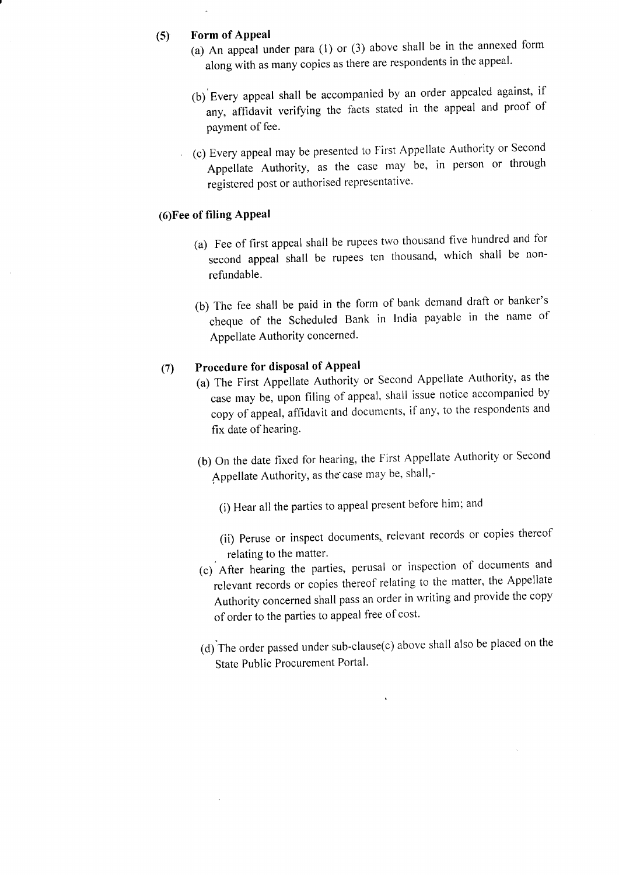## (5) Form of APPeal

- (a) An appeal under para  $(1)$  or  $(3)$  above shall be in the annexed form along with as many copies as there are respondents in the appeal.
- (b) Every appeal shall be accompanied by an order appealed against, if any, affidavit verifying the facts stated in the appeal and proof of payment of fee.
- (c) Every appeal may be presented to First Appellate Authority or Second Appellate Authority, as the case may be, in person or through registered post or authorised representative.

#### (6)Fee of filing APPeal

- (a) Fee of first appeal shall be rupees two thousand five hundred and for second appeal shatl be rupees ten thousand, which shall be nonrefundable.
- (b) The fee shall be paid in the form of bank demand draft or banker's cheque of the Scheduled Bank in India payable in the name of Appellate Authority concerned.

# (7) Procedure for disposal of Appeal

- (a) The First Appellate Authority or Second Appellate Authority, as the case may be, upon filing of appeal, shall issue notice accompanied by copy of appeal, affidavit and documents, if any, to the respondents and fix date of hearing.
- (b) on the date fixed for hearing, the First Appellate Authority or Second Appellate Authority, as the case may be, shall,-
	- (i) Hear all the parties to appeal present before him; and
	- (ii) Peruse or inspect documents, relevant records or copies thereof relating to the matter.
- (c) After hearing the parties, perusal or inspection of documents and relevant records or copies thereof relating to the matter, the Appellate Authority concerned shall pass an order in writing and provide the copy of order to the parties to appeal free of cost.
- (d) The order passed under sub-clause(c) above shall also be placed on the State Public Procurement Portal.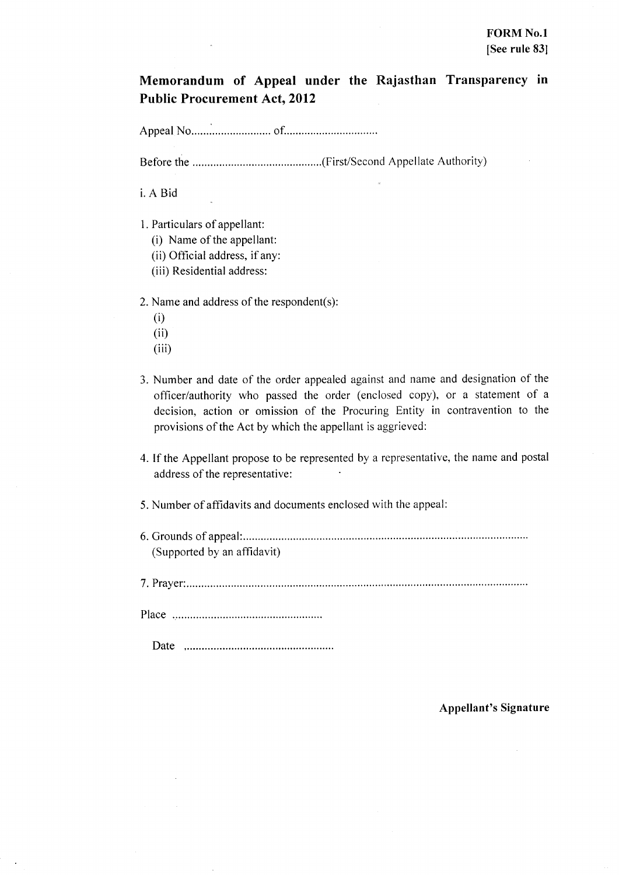Memorandum of Appeal under the Rajasthan Transparency in **Public Procurement Act, 2012** 

i. A Bid

- 1. Particulars of appellant:
	- (i) Name of the appellant:
	- (ii) Official address, if any:
	- (iii) Residential address:

2. Name and address of the respondent(s):

- $(i)$
- $(ii)$
- $(iii)$
- 3. Number and date of the order appealed against and name and designation of the officer/authority who passed the order (enclosed copy), or a statement of a decision, action or omission of the Procuring Entity in contravention to the provisions of the Act by which the appellant is aggrieved:
- 4. If the Appellant propose to be represented by a representative, the name and postal address of the representative:
- 5. Number of affidavits and documents enclosed with the appeal:
- (Supported by an affidavit)

Appellant's Signature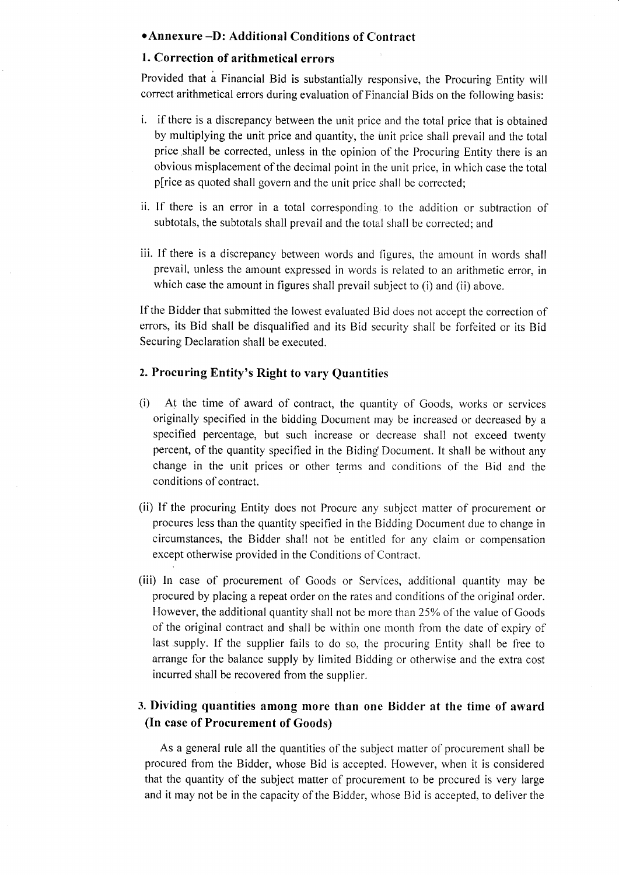#### .Annexure -D: Additional Conditions of Contract

#### 1. Correction of arithmetical errors

Provided that a Financial Bid is substantially responsive, the Procuring Entity will correct arithmetical errors during evaluation of Financial Bids on the following basis:

- i. if there is a discrepancy between the unit price and the total price that is obtained by multiplying the unit price and quantity, the unit price shall prevail and the total price shall be corrected, unless in the opinion of the Procuring Entity there is an obvious misplacement of the decimal point in the unit price, in which case the total p[rice as quoted shall govern and the unit price shall be corrected;
- ii. If there is an error in a total corresponding to the addition or subtraction of subtotals, the subtotals shall prevail and the total shall be corrected; and
- iii. If there is a discrepancy between words and figures, the amount in words shall prevail, unless the amount expressed in words is related to an arithmetic error, in which case the amount in figures shall prevail subject to (i) and (ii) above.

lf the Bidder that subrnitted the lowest evaluated Bid does not accept the correction of errors, its Bid shall be disqualified and its Bid security shall be forfeited or its Bid Securing Declaration shall be executed.

## 2. Procuring Entity's Right to vary Quantities

- (i) At the time of award of contract, the quantity of Goods, works or services originally specified in the bidding Document may be increased or decreased by <sup>a</sup> specified percentage, but such increase or decrease shall not exceed twenty percent, of the quantity specified in the Biding Docurnent. It shall be without any change in the unit prices or other terms and conditions of the Bid and the conditions of contract.
- (ii) If the procuring Entity does not Procure any subject matter of procurement or procures less than the quantity specified in the Bidding Document due to change in circumstances, the Bidder shall not be entitled for any claim or compensation except otherwise provided in the Conditions of Contract.
- (iii) ln case of procurement of Goods or Services, additional quantity may be procured by placing a repeat order on the rates and conditions of the original order. However, the additional quantity shall not be more than 25% of the value of Goods of the original contract and shall be within one month from the date of expiry of last .supply. lf the supplier fails to do so, the procuring Entity shall be free to arrange for the balance supply by limited Bidding or otherwise and the extra cost incured shall be recovered from the supplier.

# 3. Dividing quantities among more than one Bidder at the time of award (In case of Procurement of Goods)

As a general rule all the quantities of the subject matter of procurement shall be procured from the Bidder, whose Bid is accepted. However, when it is considered that the quantity of the subject matter of procurement to be procured is very large and it may not be in the capacity of the Bidder, whose Bid is accepted, to deliver the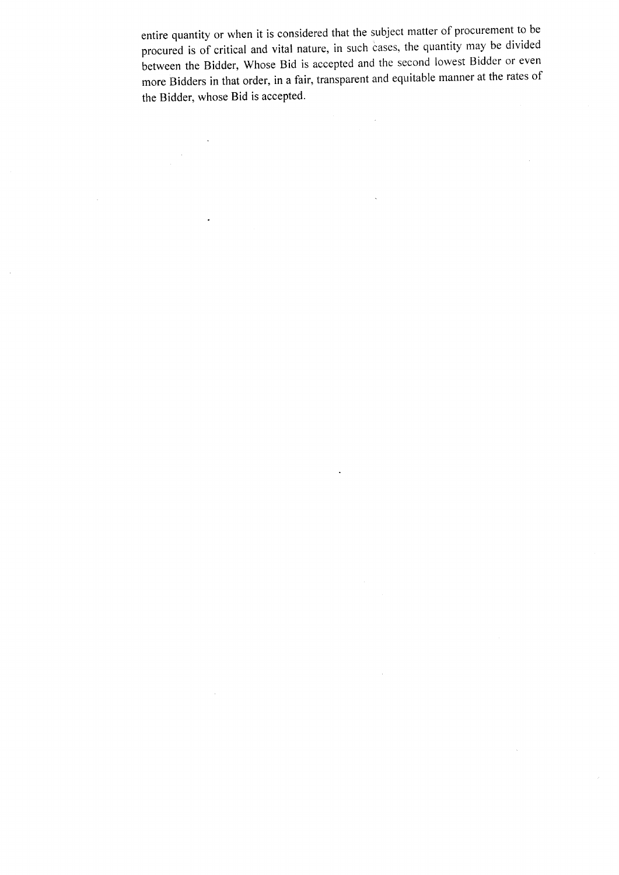entire quantity or when it is considered that the subject matter of procurement to be procured is of critical and vital nature, in such cases, the quantity may be divided between the Bidder, whose Bid is accepted and the second lowest Bidder or even more Bidders in that order, in a fair, transparent and equitable manner at the rates of the Bidder, whose Bid is accepted.

 $\ddot{\phantom{a}}$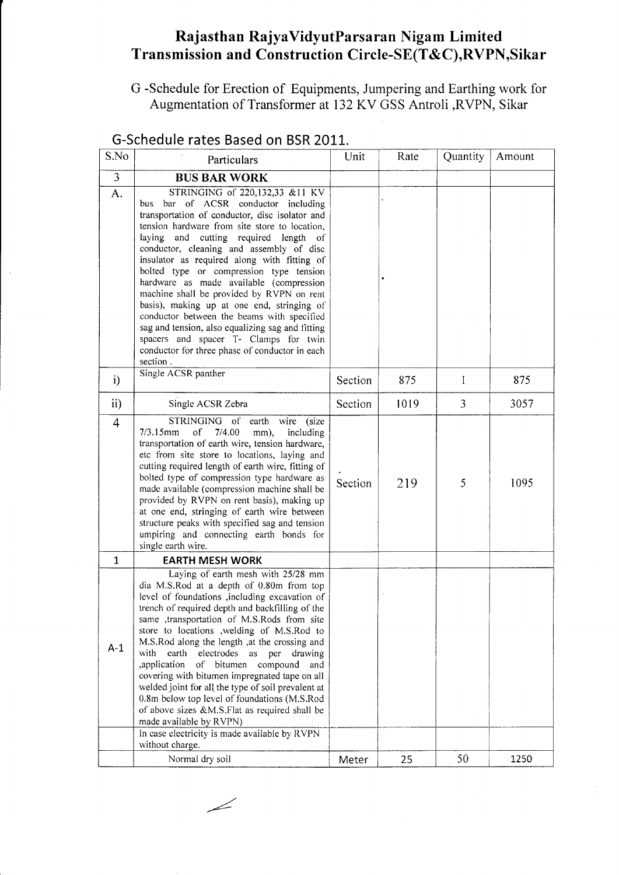# Rajasthan RajyaVidyutParsaran Nigam Limited Transmission and Construction Circle-SE(T&C),RVPN,Sikar

G -Schedule for Erection of Equipments, Jumpering and Earthing work for Augmentation of Transformer at 132 KV GSS Antroli ,RVPN, Sikar

| S.No                    | Particulars                                                                                                                                                                                                                                                                                                                                                                                                                                                                                                                                                                                                                                                                                                               | Unit    | Rate | Quantity | Amount |
|-------------------------|---------------------------------------------------------------------------------------------------------------------------------------------------------------------------------------------------------------------------------------------------------------------------------------------------------------------------------------------------------------------------------------------------------------------------------------------------------------------------------------------------------------------------------------------------------------------------------------------------------------------------------------------------------------------------------------------------------------------------|---------|------|----------|--------|
| $\overline{\mathbf{3}}$ | <b>BUS BAR WORK</b>                                                                                                                                                                                                                                                                                                                                                                                                                                                                                                                                                                                                                                                                                                       |         |      |          |        |
| A.                      | STRINGING of 220,132,33 &11 KV<br>bus bar of ACSR conductor including<br>transportation of conductor, disc isolator and<br>tension hardware from site store to location,<br>laying<br>and cutting required length<br>- of<br>conductor, cleaning and assembly of disc<br>insulator as required along with fitting of<br>bolted type or compression type tension<br>hardware as made available (compression<br>machine shall be provided by RVPN on rent<br>basis), making up at one end, stringing of<br>conductor between the beams with specified<br>sag and tension, also equalizing sag and fitting<br>spacers and spacer T- Clamps for twin<br>conductor for three phase of conductor in each<br>section.            |         |      |          |        |
| i)                      | Single ACSR panther                                                                                                                                                                                                                                                                                                                                                                                                                                                                                                                                                                                                                                                                                                       | Section | 875  | 1        | 875    |
| $\mathbf{ii}$           | Single ACSR Zebra                                                                                                                                                                                                                                                                                                                                                                                                                                                                                                                                                                                                                                                                                                         | Section | 1019 | 3        | 3057   |
| 4                       | STRINGING of earth wire (size<br>$7/3.15$ mm<br><sub>of</sub><br>7/4.00<br>mm),<br>including<br>transportation of earth wire, tension hardware,<br>etc from site store to locations, laying and<br>cutting required length of earth wire, fitting of<br>bolted type of compression type hardware as<br>made available (compression machine shall be<br>provided by RVPN on rent basis), making up<br>at one end, stringing of earth wire between<br>structure peaks with specified sag and tension<br>umpiring and connecting earth bonds for<br>single earth wire.                                                                                                                                                       | Section | 219  | 5        | 1095   |
| 1                       | <b>EARTH MESH WORK</b>                                                                                                                                                                                                                                                                                                                                                                                                                                                                                                                                                                                                                                                                                                    |         |      |          |        |
| $A-1$                   | Laying of earth mesh with 25/28 mm<br>dia M.S.Rod at a depth of 0.80m from top<br>level of foundations , including excavation of<br>trench of required depth and backfilling of the<br>same ,transportation of M.S.Rods from site<br>store to locations ,welding of M.S.Rod to<br>M.S.Rod along the length , at the crossing and<br>electrodes as per<br>with<br>earth<br>drawing<br>,application<br>bitumen<br>compound<br>of<br>and<br>covering with bitumen impregnated tape on all<br>welded joint for all the type of soil prevalent at<br>0.8m below top level of foundations (M.S.Rod<br>of above sizes &M.S.Flat as required shall be<br>made available by RVPN)<br>In case electricity is made available by RVPN |         |      |          |        |
|                         | without charge.                                                                                                                                                                                                                                                                                                                                                                                                                                                                                                                                                                                                                                                                                                           |         |      |          |        |
|                         | Normal dry soil                                                                                                                                                                                                                                                                                                                                                                                                                                                                                                                                                                                                                                                                                                           | Meter   | 25   | 50       | 1250   |

# G-Schedule rates Based on BSR 2011.

/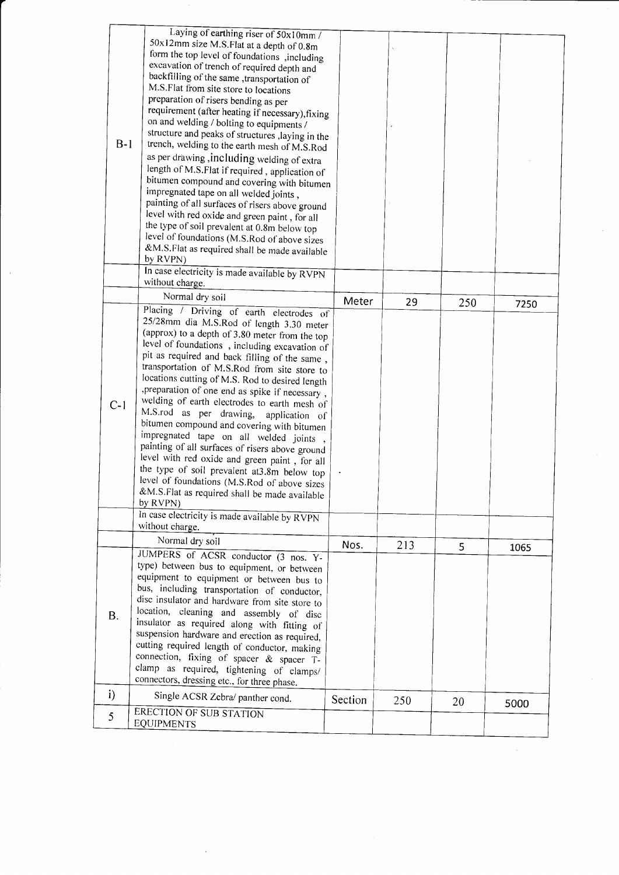| $B-1$        | Laying of earthing riser of 50x10mm /<br>50x12mm size M.S.Flat at a depth of 0.8m<br>form the top level of foundations , including<br>excavation of trench of required depth and<br>backfilling of the same , transportation of<br>M.S.Flat from site store to locations<br>preparation of risers bending as per<br>requirement (after heating if necessary), fixing<br>on and welding / bolting to equipments /<br>structure and peaks of structures , laying in the<br>trench, welding to the earth mesh of M.S.Rod<br>as per drawing, including welding of extra<br>length of M.S.Flat if required, application of<br>bitumen compound and covering with bitumen<br>impregnated tape on all welded joints,<br>painting of all surfaces of risers above ground<br>level with red oxide and green paint, for all<br>the type of soil prevalent at 0.8m below top<br>level of foundations (M.S.Rod of above sizes<br>&M.S.Flat as required shall be made available<br>by RVPN)<br>In case electricity is made available by RVPN |         |     |     |      |  |
|--------------|---------------------------------------------------------------------------------------------------------------------------------------------------------------------------------------------------------------------------------------------------------------------------------------------------------------------------------------------------------------------------------------------------------------------------------------------------------------------------------------------------------------------------------------------------------------------------------------------------------------------------------------------------------------------------------------------------------------------------------------------------------------------------------------------------------------------------------------------------------------------------------------------------------------------------------------------------------------------------------------------------------------------------------|---------|-----|-----|------|--|
|              | without charge.                                                                                                                                                                                                                                                                                                                                                                                                                                                                                                                                                                                                                                                                                                                                                                                                                                                                                                                                                                                                                 |         |     |     |      |  |
|              | Normal dry soil                                                                                                                                                                                                                                                                                                                                                                                                                                                                                                                                                                                                                                                                                                                                                                                                                                                                                                                                                                                                                 | Meter   | 29  | 250 | 7250 |  |
| $C-1$        | Placing / Driving of earth electrodes of<br>25/28mm dia M.S.Rod of length 3.30 meter<br>(approx) to a depth of 3.80 meter from the top<br>level of foundations, including excavation of<br>pit as required and back filling of the same,<br>transportation of M.S.Rod from site store to<br>locations cutting of M.S. Rod to desired length<br>, preparation of one end as spike if necessary,<br>welding of earth electrodes to earth mesh of<br>M.S.rod as per drawing,<br>application of<br>bitumen compound and covering with bitumen<br>impregnated tape on all welded joints<br>painting of all surfaces of risers above ground<br>level with red oxide and green paint, for all<br>the type of soil prevalent at 3.8m below top<br>level of foundations (M.S.Rod of above sizes<br>&M.S.Flat as required shall be made available<br>by RVPN)<br>In case electricity is made available by RVPN                                                                                                                            |         |     |     |      |  |
|              | without charge.                                                                                                                                                                                                                                                                                                                                                                                                                                                                                                                                                                                                                                                                                                                                                                                                                                                                                                                                                                                                                 |         |     |     |      |  |
| <b>B.</b>    | Normal dry soil<br>JUMPERS of ACSR conductor (3 nos. Y-<br>type) between bus to equipment, or between<br>equipment to equipment or between bus to<br>bus, including transportation of conductor,<br>disc insulator and hardware from site store to<br>location, cleaning and assembly of disc<br>insulator as required along with fitting of<br>suspension hardware and erection as required,<br>cutting required length of conductor, making<br>connection, fixing of spacer & spacer T-<br>clamp as required, tightening of clamps/<br>connectors, dressing etc., for three phase.                                                                                                                                                                                                                                                                                                                                                                                                                                            | Nos.    | 213 | 5   | 1065 |  |
| $\mathbf{i}$ | Single ACSR Zebra/ panther cond.                                                                                                                                                                                                                                                                                                                                                                                                                                                                                                                                                                                                                                                                                                                                                                                                                                                                                                                                                                                                |         |     |     |      |  |
| 5            | ERECTION OF SUB STATION                                                                                                                                                                                                                                                                                                                                                                                                                                                                                                                                                                                                                                                                                                                                                                                                                                                                                                                                                                                                         | Section | 250 | 20  | 5000 |  |
|              | <b>EQUIPMENTS</b>                                                                                                                                                                                                                                                                                                                                                                                                                                                                                                                                                                                                                                                                                                                                                                                                                                                                                                                                                                                                               |         |     |     |      |  |

 $\tilde{\beta}$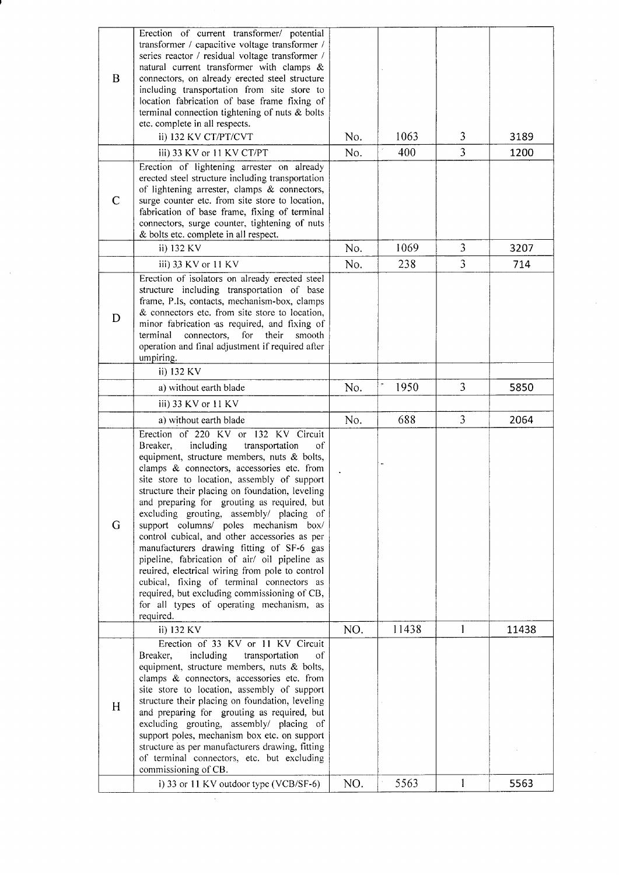| B            | Erection of current transformer/ potential<br>transformer / capacitive voltage transformer /<br>series reactor / residual voltage transformer /<br>natural current transformer with clamps &<br>connectors, on already erected steel structure<br>including transportation from site store to<br>location fabrication of base frame fixing of<br>terminal connection tightening of nuts $\&$ bolts<br>etc. complete in all respects.<br>ii) 132 KV CT/PT/CVT                                                                                                                                                                                                                                                                                                                     | No. | 1063  | 3 | 3189  |
|--------------|----------------------------------------------------------------------------------------------------------------------------------------------------------------------------------------------------------------------------------------------------------------------------------------------------------------------------------------------------------------------------------------------------------------------------------------------------------------------------------------------------------------------------------------------------------------------------------------------------------------------------------------------------------------------------------------------------------------------------------------------------------------------------------|-----|-------|---|-------|
|              | iii) 33 KV or 11 KV CT/PT                                                                                                                                                                                                                                                                                                                                                                                                                                                                                                                                                                                                                                                                                                                                                        | No. | 400   | 3 | 1200  |
| $\mathsf{C}$ | Erection of lightening arrester on already<br>erected steel structure including transportation<br>of lightening arrester, clamps & connectors,<br>surge counter etc. from site store to location,<br>fabrication of base frame, fixing of terminal<br>connectors, surge counter, tightening of nuts<br>& bolts etc. complete in all respect.                                                                                                                                                                                                                                                                                                                                                                                                                                     |     |       |   |       |
|              | ii) 132 KV                                                                                                                                                                                                                                                                                                                                                                                                                                                                                                                                                                                                                                                                                                                                                                       | No. | 1069  | 3 | 3207  |
|              | iii) 33 KV or 11 KV                                                                                                                                                                                                                                                                                                                                                                                                                                                                                                                                                                                                                                                                                                                                                              | No. | 238   | 3 | 714   |
| D            | Erection of isolators on already erected steel<br>structure including transportation of base<br>frame, P.Is, contacts, mechanism-box, clamps<br>& connectors etc. from site store to location,<br>minor fabrication as required, and fixing of<br>connectors, for their<br>terminal<br>smooth<br>operation and final adjustment if required after<br>umpiring.                                                                                                                                                                                                                                                                                                                                                                                                                   |     |       |   |       |
|              | ii) 132 KV                                                                                                                                                                                                                                                                                                                                                                                                                                                                                                                                                                                                                                                                                                                                                                       |     |       |   |       |
|              | a) without earth blade                                                                                                                                                                                                                                                                                                                                                                                                                                                                                                                                                                                                                                                                                                                                                           | No. | 1950  | 3 | 5850  |
|              | iii) 33 KV or 11 KV                                                                                                                                                                                                                                                                                                                                                                                                                                                                                                                                                                                                                                                                                                                                                              |     |       |   |       |
|              | a) without earth blade                                                                                                                                                                                                                                                                                                                                                                                                                                                                                                                                                                                                                                                                                                                                                           | No. | 688   | 3 | 2064  |
| G            | Erection of 220 KV or 132 KV Circuit<br>including<br>Breaker,<br>transportation<br>οf<br>equipment, structure members, nuts & bolts,<br>clamps & connectors, accessories etc. from<br>site store to location, assembly of support<br>structure their placing on foundation, leveling<br>and preparing for grouting as required, but<br>excluding grouting, assembly/ placing of<br>support columns/ poles mechanism box/<br>control cubical, and other accessories as per<br>manufacturers drawing fitting of SF-6 gas<br>pipeline, fabrication of air/ oil pipeline as<br>reuired, electrical wiring from pole to control<br>cubical, fixing of terminal connectors as<br>required, but excluding commissioning of CB,<br>for all types of operating mechanism, as<br>required. |     |       |   |       |
|              | ii) 132 KV                                                                                                                                                                                                                                                                                                                                                                                                                                                                                                                                                                                                                                                                                                                                                                       | NO. | 11438 | 1 | 11438 |
| H            | Erection of 33 KV or 11 KV Circuit<br>$_{\mathrm{of}}$<br>Breaker,<br>including<br>transportation<br>equipment, structure members, nuts & bolts,<br>clamps & connectors, accessories etc. from<br>site store to location, assembly of support<br>structure their placing on foundation, leveling<br>and preparing for grouting as required, but<br>excluding grouting, assembly/ placing of<br>support poles, mechanism box etc. on support<br>structure as per manufacturers drawing, fitting<br>of terminal connectors, etc. but excluding<br>commissioning of CB.                                                                                                                                                                                                             |     |       |   |       |
|              | i) 33 or 11 KV outdoor type (VCB/SF-6)                                                                                                                                                                                                                                                                                                                                                                                                                                                                                                                                                                                                                                                                                                                                           | NO. | 5563  | 1 | 5563  |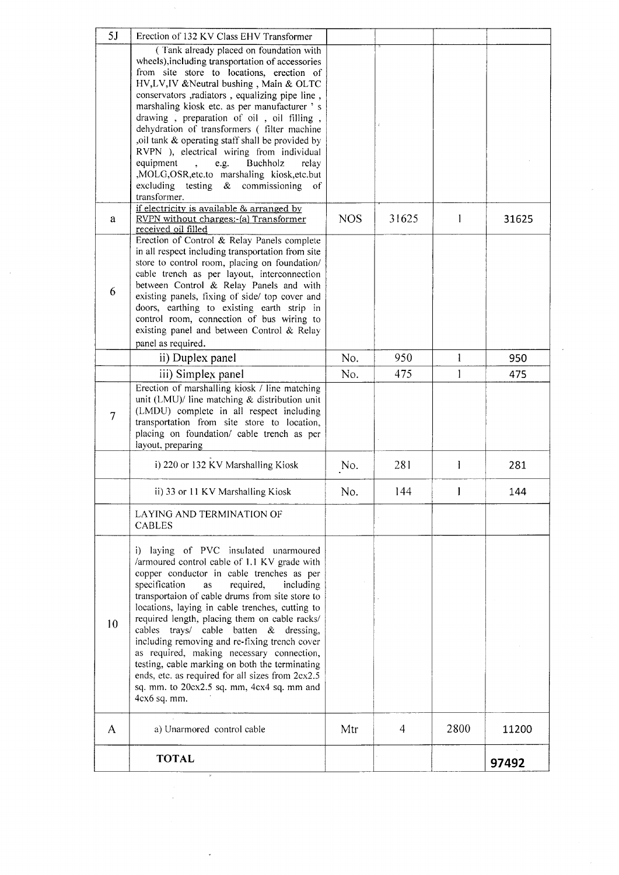| 5J             | Erection of 132 KV Class EHV Transformer                                                            |            |       |      |       |
|----------------|-----------------------------------------------------------------------------------------------------|------------|-------|------|-------|
|                | (Tank already placed on foundation with                                                             |            |       |      |       |
|                | wheels), including transportation of accessories<br>from site store to locations, erection of       |            |       |      |       |
|                | HV, LV, IV & Neutral bushing, Main & OLTC                                                           |            |       |      |       |
|                | conservators, radiators, equalizing pipe line,                                                      |            |       |      |       |
|                | marshaling kiosk etc. as per manufacturer 's                                                        |            |       |      |       |
|                | drawing, preparation of oil, oil filling,                                                           |            |       |      |       |
|                | dehydration of transformers (filter machine                                                         |            |       |      |       |
|                | oil tank & operating staff shall be provided by                                                     |            |       |      |       |
|                | RVPN ), electrical wiring from individual<br>equipment<br>Buchholz<br>e.g.<br>$\mathbf{A}$<br>relay |            |       |      |       |
|                | ,MOLG,OSR,etc.to marshaling kiosk,etc.but                                                           |            |       |      |       |
|                | excluding testing<br>$\boldsymbol{\mathcal{X}}$<br>commissioning of                                 |            |       |      |       |
|                | transformer.                                                                                        |            |       |      |       |
|                | if electricity is available & arranged by                                                           |            | 31625 | 1    |       |
| a              | RVPN without charges:-(a) Transformer<br>received oil filled                                        | <b>NOS</b> |       |      | 31625 |
|                | Erection of Control & Relay Panels complete                                                         |            |       |      |       |
|                | in all respect including transportation from site                                                   |            |       |      |       |
|                | store to control room, placing on foundation/                                                       |            |       |      |       |
|                | cable trench as per layout, interconnection<br>between Control & Relay Panels and with              |            |       |      |       |
| 6              | existing panels, fixing of side/ top cover and                                                      |            |       |      |       |
|                | doors, earthing to existing earth strip in                                                          |            |       |      |       |
|                | control room, connection of bus wiring to                                                           |            |       |      |       |
|                | existing panel and between Control & Relay                                                          |            |       |      |       |
|                | panel as required.                                                                                  |            |       |      |       |
|                | ii) Duplex panel                                                                                    | No.        | 950   | 1    | 950   |
|                | iii) Simplex panel                                                                                  | No.        | 475   | 1    | 475   |
|                | Erection of marshalling kiosk / line matching<br>unit (LMU)/ line matching & distribution unit      |            |       |      |       |
|                | (LMDU) complete in all respect including                                                            |            |       |      |       |
| $\overline{7}$ | transportation from site store to location,                                                         |            |       |      |       |
|                | placing on foundation/ cable trench as per                                                          |            |       |      |       |
|                | layout, preparing                                                                                   |            |       |      |       |
|                | i) 220 or 132 KV Marshalling Kiosk                                                                  | No.        | 281   | 1    | 281   |
|                | ii) 33 or 11 KV Marshalling Kiosk                                                                   | No.        | 144   |      | 144   |
|                | LAYING AND TERMINATION OF                                                                           |            |       |      |       |
|                | <b>CABLES</b>                                                                                       |            |       |      |       |
|                | i) laying of PVC insulated unarmoured                                                               |            |       |      |       |
|                | /armoured control cable of 1.1 KV grade with                                                        |            |       |      |       |
|                | copper conductor in cable trenches as per                                                           |            |       |      |       |
|                | specification<br>required,<br>including<br><b>as</b>                                                |            |       |      |       |
|                | transportaion of cable drums from site store to                                                     |            |       |      |       |
|                | locations, laying in cable trenches, cutting to<br>required length, placing them on cable racks/    |            |       |      |       |
| 10             | cables trays/ cable batten & dressing,                                                              |            |       |      |       |
|                | including removing and re-fixing trench cover                                                       |            |       |      |       |
|                | as required, making necessary connection,                                                           |            |       |      |       |
|                | testing, cable marking on both the terminating                                                      |            |       |      |       |
|                | ends, etc. as required for all sizes from 2cx2.5<br>sq. mm. to 20cx2.5 sq. mm, 4cx4 sq. mm and      |            |       |      |       |
|                | 4cx6 sq. mm.                                                                                        |            |       |      |       |
|                |                                                                                                     |            |       |      |       |
| A              | a) Unarmored control cable                                                                          | Mtr        | 4     | 2800 | 11200 |
|                | <b>TOTAL</b>                                                                                        |            |       |      | 97492 |
|                |                                                                                                     |            |       |      |       |

 $\sim$ 

 $\sim$   $\sim$ 

 $\sim 10^{-1}$ 

 $\hat{\mathbf{r}}$ 

 $\hat{\mathcal{A}}$